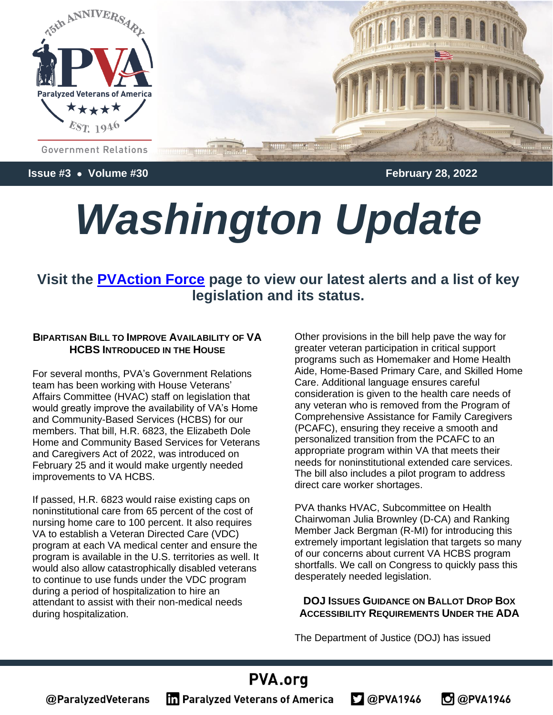

**Issue #3** • **Volume #30 February 28, 2022**

# *Washington Update*

### **Visit the [PVAction Force](https://pva.org/research-resources/votervoice/) page to view our latest alerts and a list of key legislation and its status.**

#### **BIPARTISAN BILL TO IMPROVE AVAILABILITY OF VA HCBS INTRODUCED** IN THE **HOUSE**

For several months, PVA's Government Relations team has been working with House Veterans' Affairs Committee (HVAC) staff on legislation that would greatly improve the availability of VA's Home and Community-Based Services (HCBS) for our members. That bill, H.R. 6823, the Elizabeth Dole Home and Community Based Services for Veterans and Caregivers Act of 2022, was introduced on February 25 and it would make urgently needed improvements to VA HCBS.

If passed, H.R. 6823 would raise existing caps on noninstitutional care from 65 percent of the cost of nursing home care to 100 percent. It also requires VA to establish a Veteran Directed Care (VDC) program at each VA medical center and ensure the program is available in the U.S. territories as well. It would also allow catastrophically disabled veterans to continue to use funds under the VDC program during a period of hospitalization to hire an attendant to assist with their non-medical needs during hospitalization.

Other provisions in the bill help pave the way for greater veteran participation in critical support programs such as Homemaker and Home Health Aide, Home-Based Primary Care, and Skilled Home Care. Additional language ensures careful consideration is given to the health care needs of any veteran who is removed from the Program of Comprehensive Assistance for Family Caregivers (PCAFC), ensuring they receive a smooth and personalized transition from the PCAFC to an appropriate program within VA that meets their needs for noninstitutional extended care services. The bill also includes a pilot program to address direct care worker shortages.

PVA thanks HVAC, Subcommittee on Health Chairwoman Julia Brownley (D-CA) and Ranking Member Jack Bergman (R-MI) for introducing this extremely important legislation that targets so many of our concerns about current VA HCBS program shortfalls. We call on Congress to quickly pass this desperately needed legislation.

#### **DOJ ISSUES GUIDANCE ON BALLOT DROP BOX ACCESSIBILITY REQUIREMENTS UNDER THE ADA**

**O** @PVA1946

The Department of Justice (DOJ) has issued

 $2@$ PVA1946

# PVA.org **The Paralyzed Veterans of America**

@ParalyzedVeterans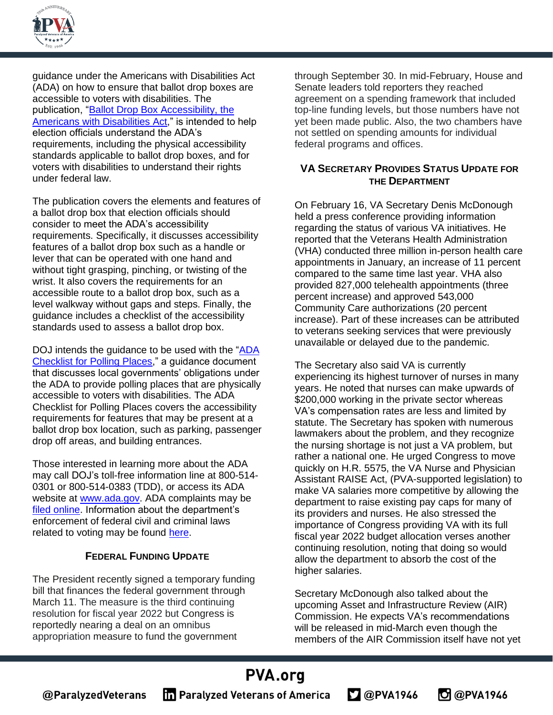

guidance under the Americans with Disabilities Act (ADA) on how to ensure that ballot drop boxes are accessible to voters with disabilities. The publication, ["Ballot Drop Box Accessibility, the](https://www.ada.gov/ada_voting/ballot_box_access.pdf)  [Americans with Disabilities Act,](https://www.ada.gov/ada_voting/ballot_box_access.pdf)" is intended to help election officials understand the ADA's requirements, including the physical accessibility standards applicable to ballot drop boxes, and for voters with disabilities to understand their rights under federal law.

The publication covers the elements and features of a ballot drop box that election officials should consider to meet the ADA's accessibility requirements. Specifically, it discusses accessibility features of a ballot drop box such as a handle or lever that can be operated with one hand and without tight grasping, pinching, or twisting of the wrist. It also covers the requirements for an accessible route to a ballot drop box, such as a level walkway without gaps and steps. Finally, the guidance includes a checklist of the accessibility standards used to assess a ballot drop box.

DOJ intends the guidance to be used with the "ADA [Checklist for Polling Places,](https://www.ada.gov/votingck.htm)" a guidance document that discusses local governments' obligations under the ADA to provide polling places that are physically accessible to voters with disabilities. The ADA Checklist for Polling Places covers the accessibility requirements for features that may be present at a ballot drop box location, such as parking, passenger drop off areas, and building entrances.

Those interested in learning more about the ADA may call DOJ's toll-free information line at 800-514- 0301 or 800-514-0383 (TDD), or access its ADA website at [www.ada.gov.](http://www.ada.gov/) ADA complaints may be [filed online.](https://civilrights.justice.gov/report/) Information about the department's enforcement of federal civil and criminal laws related to voting may be found [here.](https://www.justice.gov/voting)

#### **FEDERAL FUNDING UPDATE**

The President recently signed a temporary funding bill that finances the federal government through March 11. The measure is the third continuing resolution for fiscal year 2022 but Congress is reportedly nearing a deal on an omnibus appropriation measure to fund the government

through September 30. In mid-February, House and Senate leaders told reporters they reached agreement on a spending framework that included top-line funding levels, but those numbers have not yet been made public. Also, the two chambers have not settled on spending amounts for individual federal programs and offices.

#### **VA SECRETARY PROVIDES STATUS UPDATE FOR THE DEPARTMENT**

On February 16, VA Secretary Denis McDonough held a press conference providing information regarding the status of various VA initiatives. He reported that the Veterans Health Administration (VHA) conducted three million in-person health care appointments in January, an increase of 11 percent compared to the same time last year. VHA also provided 827,000 telehealth appointments (three percent increase) and approved 543,000 Community Care authorizations (20 percent increase). Part of these increases can be attributed to veterans seeking services that were previously unavailable or delayed due to the pandemic.

The Secretary also said VA is currently experiencing its highest turnover of nurses in many years. He noted that nurses can make upwards of \$200,000 working in the private sector whereas VA's compensation rates are less and limited by statute. The Secretary has spoken with numerous lawmakers about the problem, and they recognize the nursing shortage is not just a VA problem, but rather a national one. He urged Congress to move quickly on H.R. 5575, the VA Nurse and Physician Assistant RAISE Act, (PVA-supported legislation) to make VA salaries more competitive by allowing the department to raise existing pay caps for many of its providers and nurses. He also stressed the importance of Congress providing VA with its full fiscal year 2022 budget allocation verses another continuing resolution, noting that doing so would allow the department to absorb the cost of the higher salaries.

Secretary McDonough also talked about the upcoming Asset and Infrastructure Review (AIR) Commission. He expects VA's recommendations will be released in mid-March even though the members of the AIR Commission itself have not yet

**O** @PVA1946

#### PVA.org @ParalyzedVeterans **The Paralyzed Veterans of America**  $2@$ PVA1946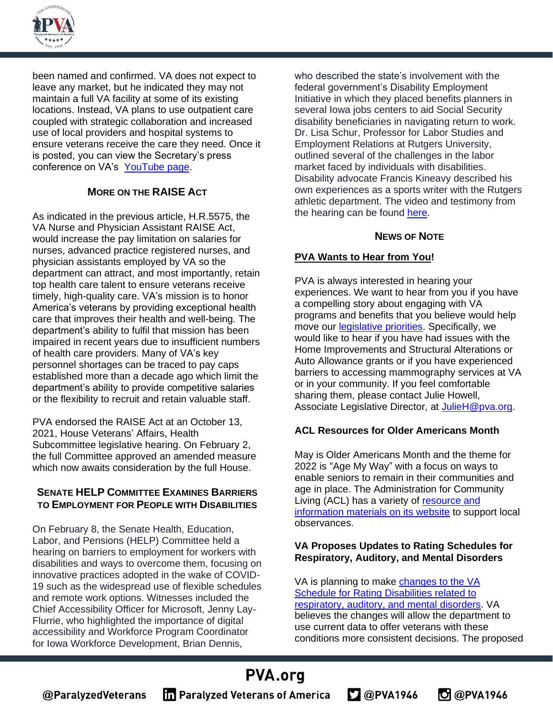

been named and confirmed. VA does not expect to leave any market, but he indicated they may not maintain a full VA facility at some of its existing locations. Instead, VA plans to use outpatient care coupled with strategic collaboration and increased use of local providers and hospital systems to ensure veterans receive the care they need. Once it is posted, you can view the Secretary's press conference on VA's [YouTube page.](https://www.youtube.com/channel/UCBvOzPLmbzjtpX-Htstp2vw)

#### **MORE ON THE RAISE ACT**

As indicated in the previous article, H.R.5575, the VA Nurse and Physician Assistant RAISE Act, would increase the pay limitation on salaries for nurses, advanced practice registered nurses, and physician assistants employed by VA so the department can attract, and most importantly, retain top health care talent to ensure veterans receive timely, high-quality care. VA's mission is to honor America's veterans by providing exceptional health care that improves their health and well-being. The department's ability to fulfil that mission has been impaired in recent years due to insufficient numbers of health care providers. Many of VA's key personnel shortages can be traced to pay caps established more than a decade ago which limit the department's ability to provide competitive salaries or the flexibility to recruit and retain valuable staff.

PVA endorsed the RAISE Act at an October 13, 2021, House Veterans' Affairs, Health Subcommittee legislative hearing. On February 2, the full Committee approved an amended measure which now awaits consideration by the full House.

#### **SENATE HELP COMMITTEE EXAMINES BARRIERS TO EMPLOYMENT FOR PEOPLE WITH DISABILITIES**

On February 8, the Senate Health, Education, Labor, and Pensions (HELP) Committee held a hearing on barriers to employment for workers with disabilities and ways to overcome them, focusing on innovative practices adopted in the wake of COVID-19 such as the widespread use of flexible schedules and remote work options. Witnesses included the Chief Accessibility Officer for Microsoft, Jenny Lay-Flurrie, who highlighted the importance of digital accessibility and Workforce Program Coordinator for Iowa Workforce Development, Brian Dennis,

who described the state's involvement with the federal government's Disability Employment Initiative in which they placed benefits planners in several Iowa jobs centers to aid Social Security disability beneficiaries in navigating return to work. Dr. Lisa Schur, Professor for Labor Studies and Employment Relations at Rutgers University, outlined several of the challenges in the labor market faced by individuals with disabilities. Disability advocate Francis Kineavy described his own experiences as a sports writer with the Rutgers athletic department. The video and testimony from the hearing can be found [here.](https://www.help.senate.gov/chair/newsroom/press/senator-murray-leads-hearing-on-boosting-employment-for-people-with-disabilities)

#### **NEWS OF NOTE**

#### **PVA Wants to Hear from You!**

PVA is always interested in hearing your experiences. We want to hear from you if you have a compelling story about engaging with VA programs and benefits that you believe would help move our **legislative priorities**. Specifically, we would like to hear if you have had issues with the Home Improvements and Structural Alterations or Auto Allowance grants or if you have experienced barriers to accessing mammography services at VA or in your community. If you feel comfortable sharing them, please contact Julie Howell, Associate Legislative Director, at [JulieH@pva.org.](mailto:JulieH@pva.org)

#### **ACL Resources for Older Americans Month**

May is Older Americans Month and the theme for 2022 is "Age My Way" with a focus on ways to enable seniors to remain in their communities and age in place. The Administration for Community Living (ACL) has a variety of resource and [information materials on its website](https://view.connect.hhs.gov/?qs=dd5a36ef0ef5f4ba884cebf94a8f844fe2d961abf8c5ebb0de0e3a518c17cbbafa9c25569d908e0ed45d23cf1f8e690a6538675de84576dc423d2357f316550dcc1da2ef2f6d2f03e30184c9a80cf7ff) to support local observances.

#### **VA Proposes Updates to Rating Schedules for Respiratory, Auditory, and Mental Disorders**

VA is planning to make [changes to the VA](https://blogs.va.gov/VAntage/100285/va-proposes-updates-to-disability-rating-schedules-for-respiratory-auditory-and-mental-disorders-body-systems/)  Schedule [for Rating Disabilities related to](https://blogs.va.gov/VAntage/100285/va-proposes-updates-to-disability-rating-schedules-for-respiratory-auditory-and-mental-disorders-body-systems/)  [respiratory, auditory, and mental](https://blogs.va.gov/VAntage/100285/va-proposes-updates-to-disability-rating-schedules-for-respiratory-auditory-and-mental-disorders-body-systems/) disorders. VA believes the changes will allow the department to use current data to offer veterans with these conditions more consistent decisions. The proposed

# **PVA.org**

@ParalyzedVeterans

**The Paralyzed Veterans of America** 

 $2@$ PVA1946